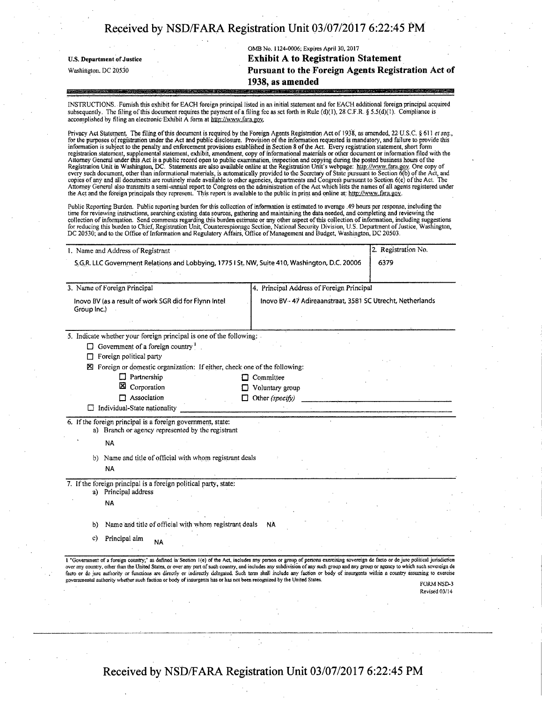|                            | OMB No. 1124-0006; Expires April 30, 2017                                                                                                                              |
|----------------------------|------------------------------------------------------------------------------------------------------------------------------------------------------------------------|
| U.S. Department of Justice | <b>Exhibit A to Registration Statement</b>                                                                                                                             |
| Washington, DC 20530       | Pursuant to the Foreign Agents Registration Act of                                                                                                                     |
|                            | 1938, as amended                                                                                                                                                       |
|                            | ,我们的时候,我们的时候,我们的时候,我们的人们就会把他们的人们的人们,我们就会把他们的人们的人们,我们的人们就是我们的人们,我们的人们,我们的人们的人们的人们的人<br>第2012章 我们的人们,我们的人们的人们,我们的人们的人们,我们们的人们的人们,我们们的人们的人们的人们,我们们的人们,我们们的人们的人们,我们们的人们的人们 |

INSTRUCTIONS. Furnish this exhibit for EACH foreign principal listed in an initial statement and for EACH additional foreign principal acquired subsequently. The filing of this document requires the payment of a filing fee as set forth in Rule  $(d)(1)$ ,  $28$  C.F.R. § 5.5(d)(1). Compliance is accomplished by filing an electronic-Exhibit A form at http://www.fara.gov.

Privacy Act Statement. The filing of this document is required by the Foreign Agents Registration Act of 1938, as amended, 22 U.S.C. § 611 *et seq.*, for the purposes of registration under the Act and public disclosure. Pr information is subject to the penalty and enforcement provisions established in Section 8 of the Act. Every registration statement, short form<br>registration statement, supplemental statement, exhibit, amendment, copy of inf copies of any and all documents are routinely made available to other agencies, departments and Congress pursuant to Section 6(c) ofthe Act. The Attorney General also transmits a semi-annual report to Congress on the administration of the Act which lists the names ofall agents registered under the Act and the foreign principals they represent. This report is available to the public in print and online at: http://www.fara.gov.

Public Reporting Burden. Public reporting burden for this collection of information is estimated to average .49 hours per response, including the time for reviewing instructions, searching existing data sources, gathering

| 3. Name of Foreign Principal                                                   | 4. Principal Address of Foreign Principal                  |  |
|--------------------------------------------------------------------------------|------------------------------------------------------------|--|
| Inovo BV (as a result of work SGR did for Flynn Intel<br>Group Inc.)           | Inovo BV - 47 Adireaanstraat, 3581 SC Utrecht, Netherlands |  |
| 5. Indicate whether your foreign principal is one of the following:            |                                                            |  |
| $\Box$ Government of a foreign country $\Box$                                  |                                                            |  |
| Foreign political party<br>П                                                   |                                                            |  |
| Foreign or domestic organization: If either, check one of the following:<br>X. |                                                            |  |
| $\Box$ Partnership                                                             | $\Box$ Committee                                           |  |
| ⊠<br>Corporation                                                               | Voluntary group                                            |  |
| $\Box$ Association                                                             | $\Box$ Other (specify)                                     |  |
| $\Box$ Individual-State nationality                                            |                                                            |  |
| 6. If the foreign principal is a foreign government, state:                    |                                                            |  |
| a) Branch or agency represented by the registrant                              |                                                            |  |
| <b>NA</b>                                                                      |                                                            |  |
| b) Name and title of official with whom registrant deals                       |                                                            |  |
| <b>NA</b>                                                                      |                                                            |  |
| 7. If the foreign principal is a foreign political party, state:               |                                                            |  |
| a) Principal address                                                           |                                                            |  |
| <b>NA</b>                                                                      |                                                            |  |
|                                                                                |                                                            |  |
| Name and title of official with whom registrant deals<br>b)                    | <b>NA</b>                                                  |  |
| Principal aim<br>c)<br><b>NA</b>                                               |                                                            |  |
|                                                                                |                                                            |  |

**Received by NSD/FARA Registration Unit 03/07/2017 6:22:45 PM** 

ţ.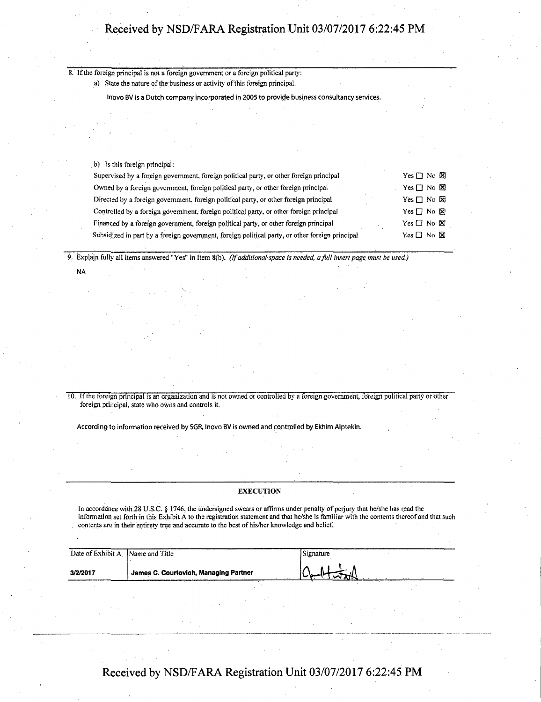8. If the foreign principal is not a foreign government or a foreign political party: a) State the nature of the business or activity of this foreign principal.

Inovo BV is a Dutch company incorporated in 2005 to provide business consultancy services.

b) Is this foreign principal:

NA

| Supervised by a foreign government, foreign political party, or other foreign principal         | Yes $\Box$ No $\boxtimes$ |
|-------------------------------------------------------------------------------------------------|---------------------------|
| Owned by a foreign government, foreign political party, or other foreign principal              | Yes $\Box$ No $\boxtimes$ |
| Directed by a foreign government, foreign political party, or other foreign principal           | Yes $\Box$ No $\boxtimes$ |
| Controlled by a foreign government, foreign political party, or other foreign principal         | Yes $\Box$ No $\boxtimes$ |
| Financed by a foreign government, foreign political party, or other foreign principal           | Yes $\Box$ No $\boxtimes$ |
| Subsidized in part by a foreign government, foreign political party, or other foreign principal | Yes $\Box$ No $\boxtimes$ |

9. Explain fully all items answered "Yes" in Item 8(b), (If additional space is needed, a full insert page must be used)

10. If the foreign principal is an organization and is not owned or controlled by a foreign government, foreign political party or other foreign principal, state who owns and controls it.

According to information received by SGR, Inovo BV is owned and controlled by Ekhim Alptekin,

#### **EXECUTION**

In accordance with 28 U.S.C. § 1746, the undersigned swears or affirms under penalty of perjury that he/she has read the information set forth in this Exhibit A to the registration statement and that he/she is familiar with the contents thereof and that such contents are in their entirety true and accurate to the best of his/her knowledge and belief.

| Date of Exhibit A Name and Title |                                       | Signature |  |
|----------------------------------|---------------------------------------|-----------|--|
| 3/2/2017                         | James C. Courtovich, Managing Partner |           |  |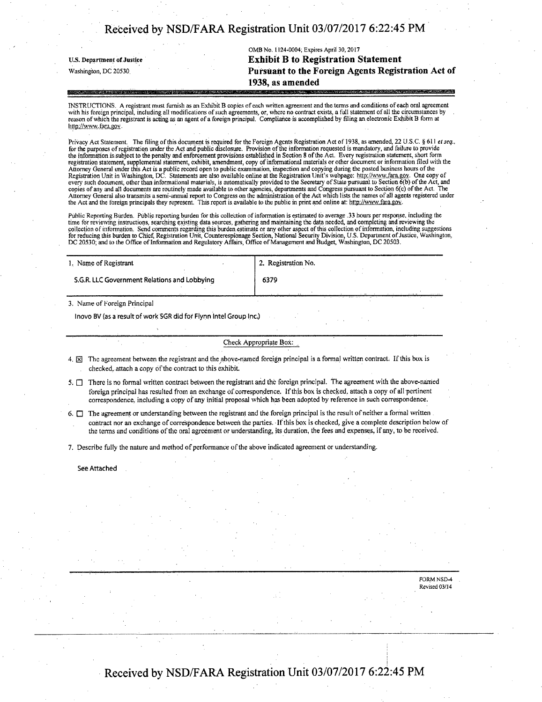|                            | OMB No. 1124-0004, Expires April 30, 2017                 |
|----------------------------|-----------------------------------------------------------|
| U.S. Department of Justice | <b>Exhibit B to Registration Statement</b>                |
| Washington, DC 20530       | Pursuant to the Foreign Agents Registration Act of        |
|                            | 1938, as amended                                          |
|                            | Press のおやけ AMP しんほくじょう (の) あたりがく アルファリスト そんぽうかい しっしょうかいろん |

INSTRUCTIONS. A registrant must furnish as an Exhibit B copies of each written agreement and the terms and conditions of each oral agreement with his foreign principal, including all modifications of such agreements, or, where no contract exists, a full statement of all the circumstances by<br>reason of which the registrant is acting as an agent of a foreign princ http://www.fara.gov.

Privacy Act Statement. The filing of this document is required for the Forcign Agents Registration Act of 1938, as amended, 22 U.S.C. § 611 et seq.,<br>for the purposes of registration under the Act and public disclosure. Pro the information is subject to the penalty and enforcement provisions established in Section 8 of the Act. Every registration statement, short form<br>registration statement, supplemental statement, exhibit, amendment, copy of every such document, other than informational materials, is automatically provided to the Secretary of State pursuant to Section 6(b) of the Act, and copies of any and all documents are routinely made available to other agencies, departments and Congress pursuant to Section 6(c) of the Act. The<br>Attorney General also transmits a semi-annual report to Congress on the admi the Act and the foreign principals they represent. This report is available to the public in print and online at: http://www.fara.gov.

Public Reporting Burden. Public reporting burden for this collection of information is estimated to average .33 hours per response, including the time for reviewing instructions, searching existing data sources, gathering and maintaining the data needed, and completing and reviewing the collection of information. Send comments regarding this burden estimate or any other aspect of this collection of information, including suggestions<br>for reducing this burden to Chief, Registration Unit, Counterespionage Se

| 1. Name of Registrant                        | <sup>1</sup> 2. Registration No. |
|----------------------------------------------|----------------------------------|
| S.G.R. LLC Government Relations and Lobbying | 6379                             |
|                                              |                                  |

3. Name of Foreign Principal

Inovo BV (as a result of work SGR did for Flynn Intel Group Inc.)

Check Appropriate Box:

- 4.  $\boxtimes$  The agreement between the registrant and the above-named foreign principal is a formal written contract. If this box is checked, attach a copy of the contract to this exhibit.
- 5.  $\Box$  There is no formal written contract between the registrant and the foreign principal. The agreement with the above-named foreign principal has resulted from an exchange Of correspondence. If this box is checked, attach a copy of all pertinent correspondence, including a copy of any initial proposal which has been adopted by reference in such correspondence.
- $6.$   $\Box$  The agreement or understanding between the registrant and the foreign principal is the result of neither a formal written contract nor an exchange of correspondence between the parties. If this box is checked, give a complete description below of the terms and conditions ofthe oral agreement or understanding, its duration, the fees and expenses, if any, to be received.

7. Describe fully the nature and method of performance of the above indicated agreement or understanding.

See Attached

FORM NSD-4 Revised 03/14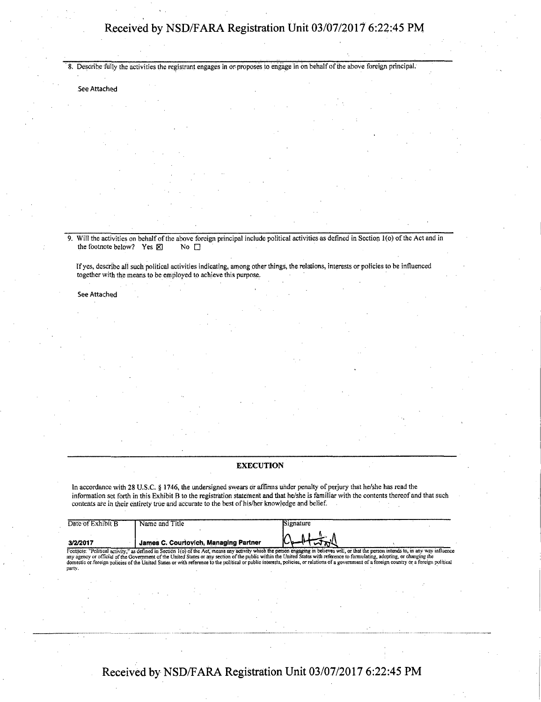8. Describe fully the activities the registrant engages in or proposes to engage in on behalf of the above foreign principal.

See Attached

9. Will the activities on behalf of the above foreign principal include political activities as defined in Section 1(o) of the Act and in the footnote below? Yes  $\boxtimes$  No  $\Box$ the footnote below? Yes  $\times$ 

If yes, describe all such political activities indicating, among other things, the relations, interests or policies to be influenced together with the means to be employed to achieve this purpose.

See Attached

### **EXECUTION**

In accordance with 28 U.S.C. § 1746, the undersigned swears or affirms under penalty of perjury that he/she has read the information set forth in this Exhibit B to the registration statement and that he/she is familiar with the contents thereof and that such contents are in their entirety true and accurate to the best of his/her knowledge and belief.

| Date of Exhibit B | Name and Title                                                                                                                                                                                                                                                                                                                                                                                                                                                                                                                                                            | Signature                                                                                                                                                                                                                                                                                                                                                                                                                |  |
|-------------------|---------------------------------------------------------------------------------------------------------------------------------------------------------------------------------------------------------------------------------------------------------------------------------------------------------------------------------------------------------------------------------------------------------------------------------------------------------------------------------------------------------------------------------------------------------------------------|--------------------------------------------------------------------------------------------------------------------------------------------------------------------------------------------------------------------------------------------------------------------------------------------------------------------------------------------------------------------------------------------------------------------------|--|
| 3/2/2017          | James C. Courtovich, Managing Partner                                                                                                                                                                                                                                                                                                                                                                                                                                                                                                                                     | $\bigcap_{n\in\mathbb{Z}}\bigcup_{n\in\mathbb{Z}}\bigcap_{n\in\mathbb{Z}}\bigcap_{n\in\mathbb{Z}}\bigcap_{n\in\mathbb{Z}}\bigcap_{n\in\mathbb{Z}}\bigcap_{n\in\mathbb{Z}}\bigcap_{n\in\mathbb{Z}}\bigcap_{n\in\mathbb{Z}}\bigcap_{n\in\mathbb{Z}}\bigcap_{n\in\mathbb{Z}}\bigcap_{n\in\mathbb{Z}}\bigcap_{n\in\mathbb{Z}}\bigcap_{n\in\mathbb{Z}}\bigcap_{n\in\mathbb{Z}}\bigcap_{n\in\mathbb{Z}}\bigcap_{n\in\mathbb{Z$ |  |
| party.            | Footnote: "Political activity," as defined in Section 1(o) of the Act, means any activity which the person engaging in believes will, or that the person intends to, in any way influence<br>any agency or official of the Government of the United States or any section of the public within the United States with reference to formulating, adopting, or changing the<br>domestic or foreign policies of the United States or with reference to the political or public interests, policies, or relations of a government of a foreign country or a foreign political |                                                                                                                                                                                                                                                                                                                                                                                                                          |  |
|                   |                                                                                                                                                                                                                                                                                                                                                                                                                                                                                                                                                                           |                                                                                                                                                                                                                                                                                                                                                                                                                          |  |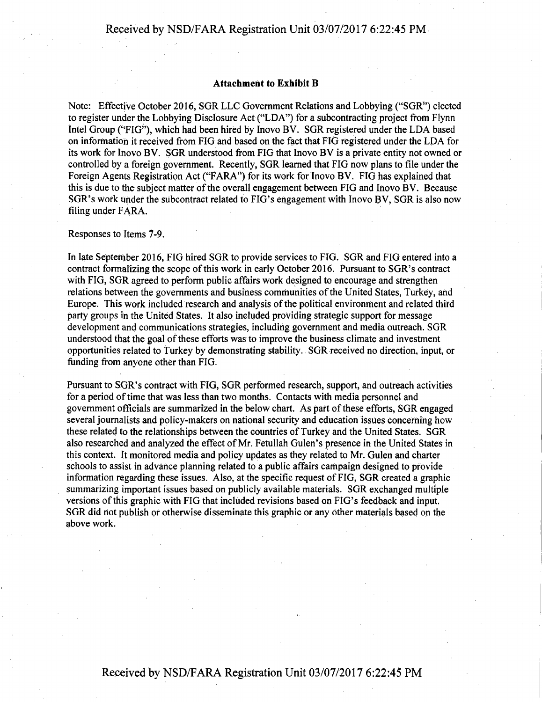### **Attachment to Exhibit B**

Note: Effective October 2016, SGR LLC Government Relations and Lobbying ("SGR") elected to register under the Lobbying Disclosure Act ("LDA") for a subcontracting project from Flynn Intel Group ("FIG"), which had been hired by Inovo BV. SGR registered under the LDA based on information it received from FIG and based on the fact that FIG registered under the LDA for its work for Inovo BV. SGR understood from FIG that Inovo BV is a private entity not owned or controlled by a foreign government. Recently, SGR learned that FIG now plans to file under the Foreign Agents Registration Act ("FARA") for its work for Inovo BV. FIG has explained that this is due to the subject matter of the overall engagement between FIG and Inovo BV. Because SGR's work under the subcontract related to FIG's engagement with Inovo BV, SGR is also now filing under FARA.

### Responses to Items 7-9.

In late September 2016, FIG hired SGR to provide services to FIG. SGR and FIG entered into a contract formalizing the scope of this work in early October 2016. Pursuant to SGR's contract with FIG, SGR agreed to perform public affairs work designed to encourage and strengthen relations between the governments and business communities of the United States, Turkey, and Europe. This work included research and analysis of the political environment and related third party groups in the United States. It also included providing strategic support for message development and communications strategies, including government and media outreach. SGR understood that the goal of these efforts was to improve the business climate and investment opportunities related to Turkey by demonstrating stability. SGR received no direction, input, or funding from anyone other than FIG.

Pursuant to SGR's contract with FIG, SGR performed research, support, and outreach activities for a period of time that was less than two months. Contacts with media personnel and government officials are summarized in the below chart. As part of these efforts, SGR engaged several journalists and policy-makers on national security and education issues concerning how these related to the relationships between the countries of Turkey and the United States. SGR also researched and analyzed the effect of Mr. Fetullah Gulen's presence in the United States in this context. It monitored media and policy updates as they related to Mr. Gulen and charter schools to assist in advance planning related to a public affairs campaign designed to provide information regarding these issues. Also, at the specific request of FIG, SGR created a graphic summarizing important issues based on publicly available materials. SGR exchanged multiple versions of this graphic with FIG that included revisions based on FIG's feedback and input. SGR did not publish or otherwise disseminate this graphic or any other materials based on the above work.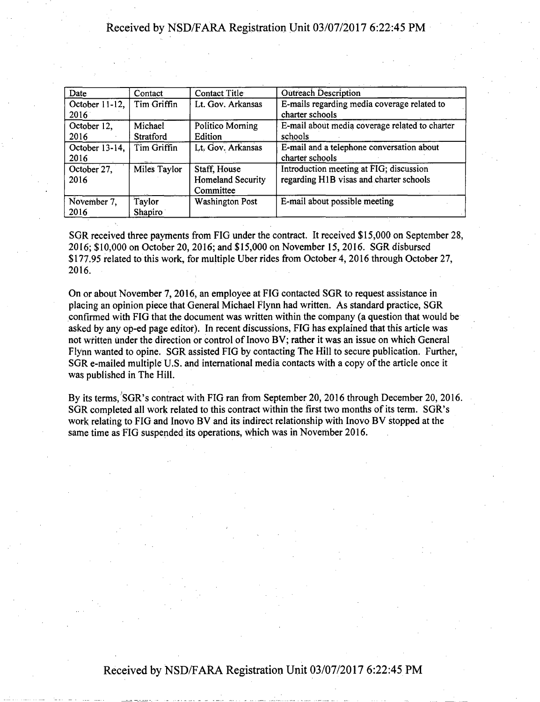| Date                           | Contact                     | Contact Title                                         | Outreach Description                                                               |
|--------------------------------|-----------------------------|-------------------------------------------------------|------------------------------------------------------------------------------------|
| October 11-12, $\vert$<br>2016 | Tim Griffin                 | Lt. Gov. Arkansas                                     | E-mails regarding media coverage related to<br>charter schools                     |
| October 12.<br>2016            | Michael<br><b>Stratford</b> | Politico Morning<br>Edition                           | E-mail about media coverage related to charter<br>schools                          |
| October 13-14,<br>2016         | Tim Griffin                 | Lt. Gov. Arkansas                                     | E-mail and a telephone conversation about<br>charter schools                       |
| October 27,<br>2016            | <b>Miles Taylor</b>         | Staff, House<br><b>Homeland Security</b><br>Committee | Introduction meeting at FIG; discussion<br>regarding H1B visas and charter schools |
| November 7,<br>2016            | Taylor<br>Shapiro           | <b>Washington Post</b>                                | E-mail about possible meeting                                                      |

SGR received three payments from FIG under the contract. It received \$15,000 on September 28, 2016; \$10,000 on October 20, 2016; and \$15,000 on November 15, 2016. SGR disbursed \$177.95 related to this work, for multiple Uber rides from October 4, 2016 through October 27, 2016.

On or about November 7, 2016, an employee at FIG contacted SGR to request assistance in placing an opinion piece that General Michael Flynn had written. As standard practice, SGR confirmed with FIG that the document was written within the company (a question that would be asked by any op-ed page editor). In recent discussions, FIG has explained that this article was not written under the direction or control of Inovo BV; rather it was an issue on which General Flynn wanted to opine. SGR assisted FIG by contacting The Hill to secure publication. Further, SGR e-mailed multiple U.S. and international media contacts with a copy of the article once it was published in The Hill.

By its terms, SGR's contract with FIG ran from September 20, 2016 through December 20, 2016. SGR completed all work related to this contract within the first two months of its term. SGR's work relating to FIG and Inovo BV and its indirect relationship with Inovo BV stopped at the same time as FIG suspended its operations, which was in November 2016.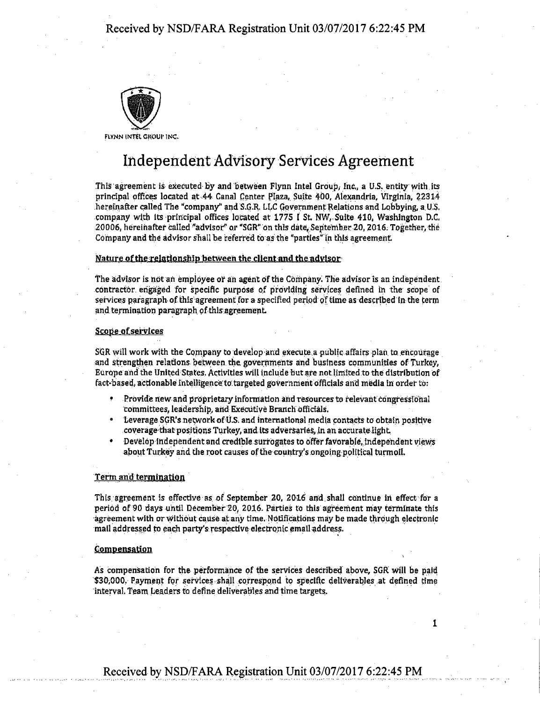

FLYNN INTEL GROUP INC.

# **Independent Advisory Services Agreement**

This agreement is executed by and between Flynn Intel Group, inc., a U.S. entity with its principal offices located at 44 Canal Center Plaza, Suite 400, Alexandria, Virginia, 22314 hereinafter called The "company" and S.G.R, LLC Government Relations and Lobbying, a U.S. company with its principal offices located at 1775 I St NW,. Suite 410, Washington D.C. 20006, hereinafter called "advisor" or "SGR" on this date, September 20, 2016; Together, the Company and the advisor shall be referred to as the "parties" in this agreement

### Nature of the relationship between the client and the advisor

The advisor is not an employee of ah agent of the Company. The advisor is an independent contractor, engaged for specific purpose of providing services defined in the scope of services paragraph of this agreement for a specified period of time as described In the term and termination paragraph of this agreement

### Scope of services

SGR will work with the Company to develop and execute a public affairs plan to encourage and strengthen relations between the, governments and business communities Of Turkey, Europe and the United States. Activities will include but are not.limited to the distribution of fact-based, actionable intelligence:to targeted government officials and media in order to:

- Provide new and proprietary information arid resources to relevant congressional committees, leadership, and Executive Branch officials.
- Leverage SGR's network of U.S. and international media contacts to obtain positive coverage that positions Turkey, and its adversaries, in an accurate light.
- Develop independent and credible surrogates to offer favorable, independent views about Turkey and the root causes of the country's ongoing political turmoil.

### Term and termination

This agreement is effective as of September 20, 2016 and shall continue in effect for a period of 90 days until December 20, 2016. Parties to this agreement may terminate this agreement with or without cause at any time. Notifications may be made through electronic mail addressed to each party's respective electronic email address.

### **Compensation**

As compensation for the performance of the services described above, SGR will be paid \$30,000. Payment for services shall correspond to specific deliverables at defined time interval. Team Leaders to define deliverables and time targets.

**i**